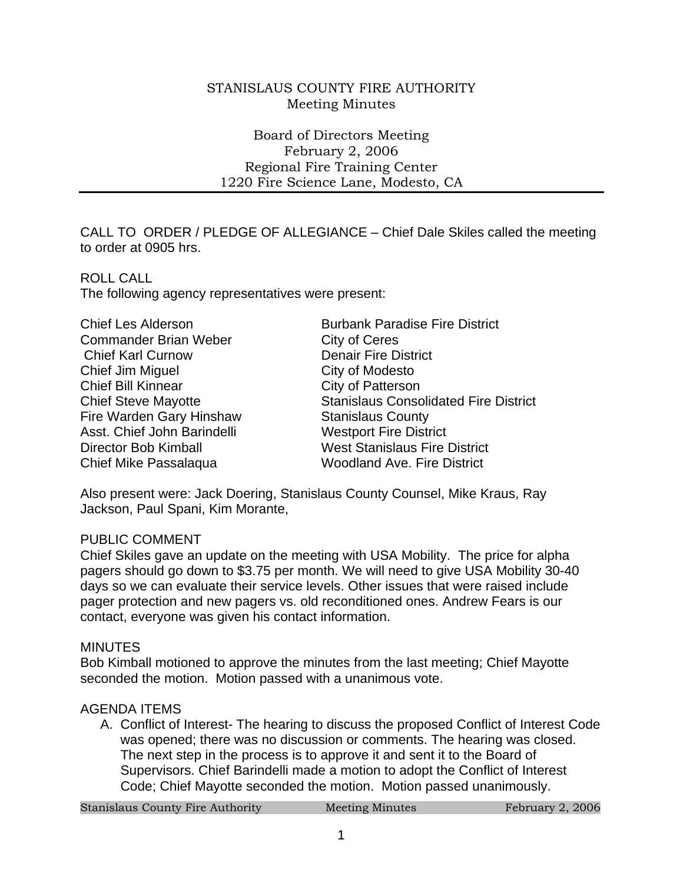# STANISLAUS COUNTY FIRE AUTHORITY Meeting Minutes

Board of Directors Meeting February 2, 2006 Regional Fire Training Center 1220 Fire Science Lane, Modesto, CA

CALL TO ORDER / PLEDGE OF ALLEGIANCE – Chief Dale Skiles called the meeting to order at 0905 hrs.

ROLL CALL The following agency representatives were present:

| <b>Chief Les Alderson</b>    | <b>Burbank Paradise Fire District</b>        |
|------------------------------|----------------------------------------------|
| <b>Commander Brian Weber</b> | <b>City of Ceres</b>                         |
| <b>Chief Karl Curnow</b>     | <b>Denair Fire District</b>                  |
| Chief Jim Miguel             | City of Modesto                              |
| <b>Chief Bill Kinnear</b>    | City of Patterson                            |
| <b>Chief Steve Mayotte</b>   | <b>Stanislaus Consolidated Fire District</b> |
| Fire Warden Gary Hinshaw     | <b>Stanislaus County</b>                     |
| Asst. Chief John Barindelli  | <b>Westport Fire District</b>                |
| Director Bob Kimball         | <b>West Stanislaus Fire District</b>         |
| Chief Mike Passalaqua        | <b>Woodland Ave. Fire District</b>           |

Also present were: Jack Doering, Stanislaus County Counsel, Mike Kraus, Ray Jackson, Paul Spani, Kim Morante,

## PUBLIC COMMENT

Chief Skiles gave an update on the meeting with USA Mobility. The price for alpha pagers should go down to \$3.75 per month. We will need to give USA Mobility 30-40 days so we can evaluate their service levels. Other issues that were raised include pager protection and new pagers vs. old reconditioned ones. Andrew Fears is our contact, everyone was given his contact information.

## MINUTES

Bob Kimball motioned to approve the minutes from the last meeting; Chief Mayotte seconded the motion. Motion passed with a unanimous vote.

## AGENDA ITEMS

A. Conflict of Interest- The hearing to discuss the proposed Conflict of Interest Code was opened; there was no discussion or comments. The hearing was closed. The next step in the process is to approve it and sent it to the Board of Supervisors. Chief Barindelli made a motion to adopt the Conflict of Interest Code; Chief Mayotte seconded the motion. Motion passed unanimously.

Stanislaus County Fire Authority **Meeting Minutes** February 2, 2006